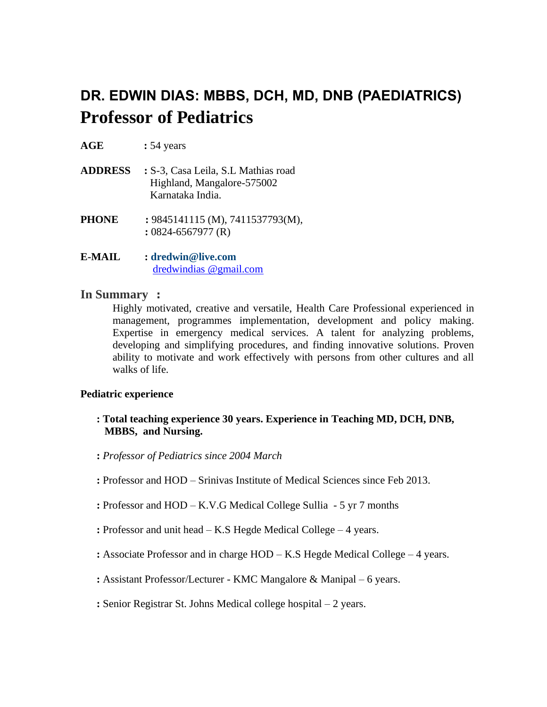# **DR. EDWIN DIAS: MBBS, DCH, MD, DNB (PAEDIATRICS) Professor of Pediatrics**

- **AGE :** 54 years
- **ADDRESS :** S-3, Casa Leila, S.L Mathias road Highland, Mangalore-575002 Karnataka India.
- **PHONE :** 9845141115 (M), 7411537793(M),  **:** 0824-6567977 (R)
- **E-MAIL : [dredwin@live.com](mailto:dredwin@live.com)** dredwindias @gmail.com

#### **In Summary :**

Highly motivated, creative and versatile, Health Care Professional experienced in management, programmes implementation, development and policy making. Expertise in emergency medical services. A talent for analyzing problems, developing and simplifying procedures, and finding innovative solutions. Proven ability to motivate and work effectively with persons from other cultures and all walks of life.

#### **Pediatric experience**

- **: Total teaching experience 30 years. Experience in Teaching MD, DCH, DNB, MBBS, and Nursing.**
- **:** *Professor of Pediatrics since 2004 March*
- **:** Professor and HOD Srinivas Institute of Medical Sciences since Feb 2013.
- **:** Professor and HOD K.V.G Medical College Sullia 5 yr 7 months
- **:** Professor and unit head K.S Hegde Medical College 4 years.
- **:** Associate Professor and in charge HOD K.S Hegde Medical College 4 years.
- **:** Assistant Professor/Lecturer KMC Mangalore & Manipal 6 years.
- **:** Senior Registrar St. Johns Medical college hospital 2 years.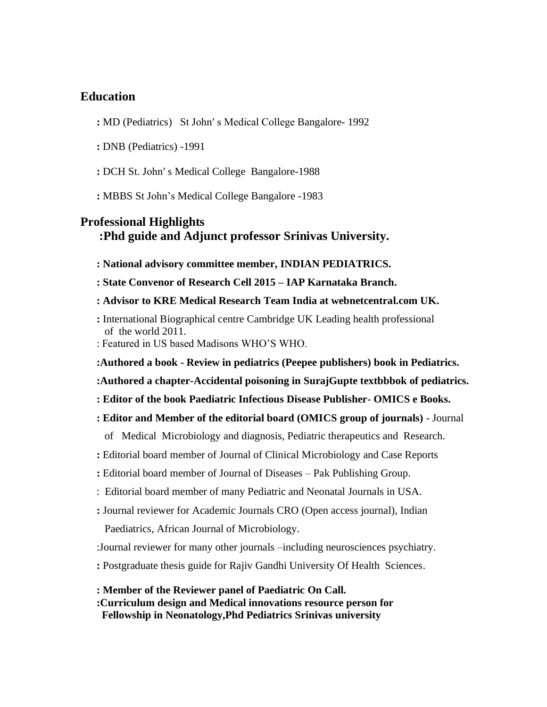### **Education**

- **:** MD (Pediatrics) St John′ s Medical College Bangalore- 1992
- **:** DNB (Pediatrics) -1991
- **:** DCH St. John′ s Medical College Bangalore-1988
- **:** MBBS St John's Medical College Bangalore -1983

## **Professional Highlights :Phd guide and Adjunct professor Srinivas University.**

- **: National advisory committee member, INDIAN PEDIATRICS.**
- **: State Convenor of Research Cell 2015 – IAP Karnataka Branch.**
- **: Advisor to KRE Medical Research Team India at webnetcentral.com UK.**
- **:** International Biographical centre Cambridge UK Leading health professional of the world 2011.
- : Featured in US based Madisons WHO'S WHO.
- **:Authored a book - Review in pediatrics (Peepee publishers) book in Pediatrics.**
- **:Authored a chapter-Accidental poisoning in SurajGupte textbbbok of pediatrics.**
- **: Editor of the book Paediatric Infectious Disease Publisher- OMICS e Books.**
- **: Editor and Member of the editorial board (OMICS group of journals)** Journal
	- of Medical Microbiology and diagnosis, Pediatric therapeutics and Research.
- **:** Editorial board member of Journal of Clinical Microbiology and Case Reports
- **:** Editorial board member of Journal of Diseases Pak Publishing Group.
- : Editorial board member of many Pediatric and Neonatal Journals in USA.
- **:** Journal reviewer for Academic Journals CRO (Open access journal), Indian
	- Paediatrics, African Journal of Microbiology.
- :Journal reviewer for many other journals –including neurosciences psychiatry.
- **:** Postgraduate thesis guide for Rajiv Gandhi University Of Health Sciences.
- **: Member of the Reviewer panel of Paediatric On Call.**
- **:Curriculum design and Medical innovations resource person for Fellowship in Neonatology,Phd Pediatrics Srinivas university**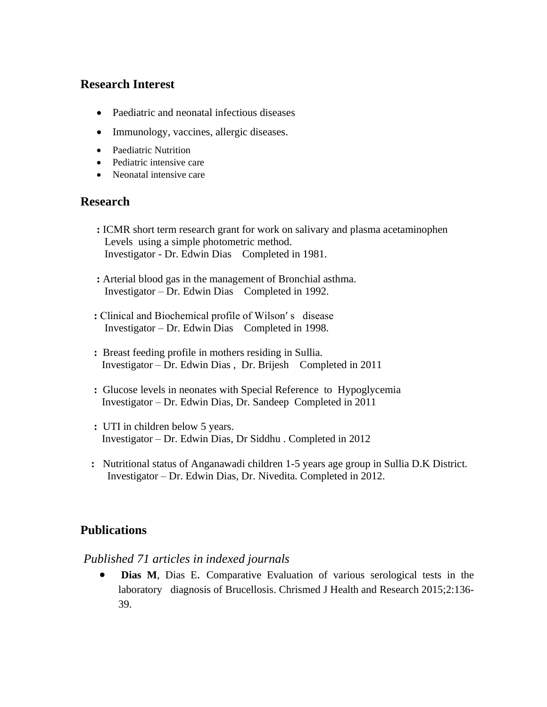## **Research Interest**

- Paediatric and neonatal infectious diseases
- Immunology, vaccines, allergic diseases.
- Paediatric Nutrition
- Pediatric intensive care
- Neonatal intensive care

## **Research**

- **:** ICMR short term research grant for work on salivary and plasma acetaminophen Levels using a simple photometric method. Investigator - Dr. Edwin Dias Completed in 1981.
- **:** Arterial blood gas in the management of Bronchial asthma. Investigator – Dr. Edwin Dias Completed in 1992.
- **:** Clinical and Biochemical profile of Wilson′ s disease Investigator – Dr. Edwin Dias Completed in 1998.
- **:** Breast feeding profile in mothers residing in Sullia. Investigator – Dr. Edwin Dias , Dr. Brijesh Completed in 2011
- **:** Glucose levels in neonates with Special Reference to Hypoglycemia Investigator – Dr. Edwin Dias, Dr. Sandeep Completed in 2011
- **:** UTI in children below 5 years. Investigator – Dr. Edwin Dias, Dr Siddhu . Completed in 2012
- **:** Nutritional status of Anganawadi children 1-5 years age group in Sullia D.K District. Investigator – Dr. Edwin Dias, Dr. Nivedita. Completed in 2012.

# **Publications**

## *Published 71 articles in indexed journals*

• **Dias M**, Dias E. Comparative Evaluation of various serological tests in the laboratory diagnosis of Brucellosis. Chrismed J Health and Research 2015;2:136- 39.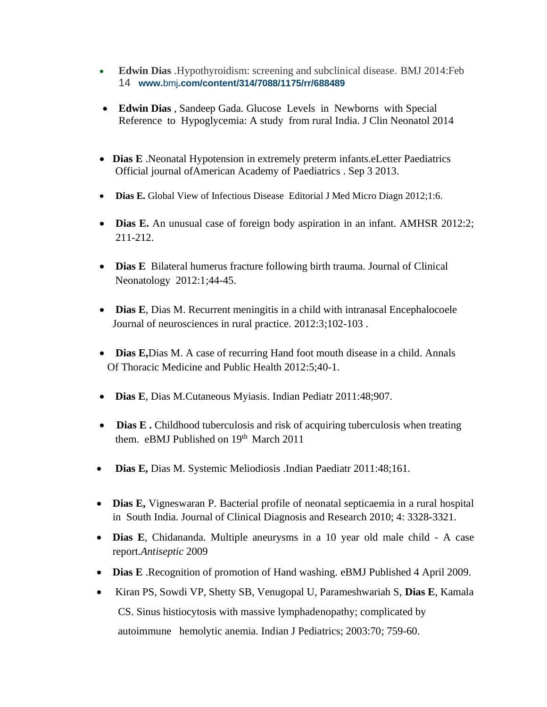- **Edwin Dias** .Hypothyroidism: screening and subclinical disease. BMJ 2014:Feb 14 **www.**bmj**[.com/content/314/7088/1175/rr/688489](http://www.bmj.com/content/314/7088/1175/rr/688489)**
- **Edwin Dias** , Sandeep Gada. Glucose Levels in Newborns with Special Reference to Hypoglycemia: A study from rural India. J Clin Neonatol 2014
- **Dias E** .Neonatal Hypotension in extremely preterm infants.eLetter Paediatrics Official journal ofAmerican Academy of Paediatrics . Sep 3 2013.
- **Dias E.** Global View of Infectious Disease Editorial J Med Micro Diagn 2012;1:6.
- **Dias E.** An unusual case of foreign body aspiration in an infant. AMHSR 2012:2; 211-212.
- **Dias E** Bilateral humerus fracture following birth trauma. Journal of Clinical Neonatology 2012:1;44-45.
- **Dias E**, Dias M. Recurrent meningitis in a child with intranasal Encephalocoele Journal of neurosciences in rural practice. 2012:3;102-103 .
- **Dias E,**Dias M. A case of recurring Hand foot mouth disease in a child. Annals Of Thoracic Medicine and Public Health 2012:5;40-1.
- **Dias E**, Dias M.Cutaneous Myiasis. Indian Pediatr 2011:48;907.
- Dias E. Childhood tuberculosis and risk of acquiring tuberculosis when treating them. eBMJ Published on 19<sup>th</sup> March 2011
- **Dias E,** Dias M. Systemic Meliodiosis .Indian Paediatr 2011:48;161.
- **Dias E,** Vigneswaran P. Bacterial profile of neonatal septicaemia in a rural hospital in South India. Journal of Clinical Diagnosis and Research 2010; 4: 3328-3321.
- **Dias E**, Chidananda. Multiple aneurysms in a 10 year old male child A case report.*Antiseptic* 2009
- **Dias E** .Recognition of promotion of Hand washing. eBMJ Published 4 April 2009.
- Kiran PS, Sowdi VP, Shetty SB, Venugopal U, Parameshwariah S, **Dias E**, Kamala CS. Sinus histiocytosis with massive lymphadenopathy; complicated by autoimmune hemolytic anemia. Indian J Pediatrics; 2003:70; 759-60.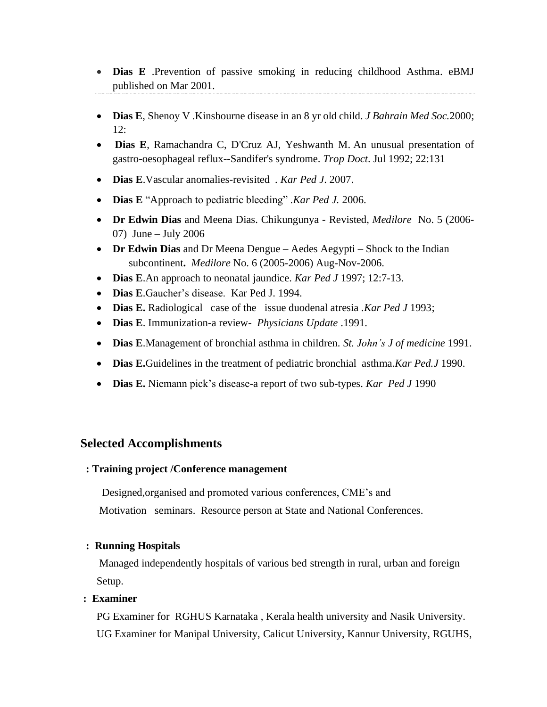- **Dias E** .Prevention of passive smoking in reducing childhood Asthma. eBMJ published on Mar 2001.
- **Dias E**, Shenoy V .Kinsbourne disease in an 8 yr old child. *J Bahrain Med Soc.*2000;  $12.$
- **Dias E**, Ramachandra C, D'Cruz AJ, Yeshwanth M. An unusual presentation of gastro-oesophageal reflux--Sandifer's syndrome. *Trop Doct*. Jul 1992; 22:131
- **Dias E**.Vascular anomalies-revisited *. Kar Ped J*. 2007.
- **Dias E** "Approach to pediatric bleeding" .*Kar Ped J.* 2006.
- **Dr Edwin Dias** and Meena Dias. Chikungunya Revisted, *Medilore* No. 5 (2006- 07) June – July 2006
- **Dr Edwin Dias** and Dr Meena Dengue Aedes Aegypti Shock to the Indian subcontinent**.** *Medilore* No. 6 (2005-2006) Aug-Nov-2006.
- **Dias E**.An approach to neonatal jaundice. *Kar Ped J* 1997; 12:7-13.
- **Dias E**.Gaucher's disease. Kar Ped J. 1994.
- **Dias E.** Radiological case of the issue duodenal atresia .*Kar Ped J* 1993;
- **Dias E**. Immunization-a review- *Physicians Update* .1991.
- **Dias E**.Management of bronchial asthma in children. *St. John's J of medicine* 1991.
- **Dias E.**Guidelines in the treatment of pediatric bronchial asthma.*Kar Ped.J* 1990.
- **Dias E.** Niemann pick's disease-a report of two sub-types. *Kar Ped J* 1990

### **Selected Accomplishments**

#### **: Training project /Conference management**

 Designed,organised and promoted various conferences, CME's and Motivation seminars. Resource person at State and National Conferences.

#### **: Running Hospitals**

Managed independently hospitals of various bed strength in rural, urban and foreign Setup.

#### **: Examiner**

PG Examiner for RGHUS Karnataka , Kerala health university and Nasik University. UG Examiner for Manipal University, Calicut University, Kannur University, RGUHS,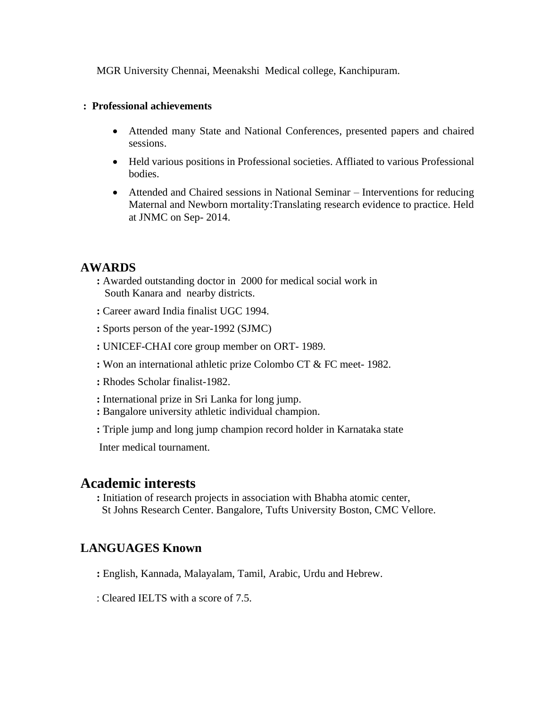MGR University Chennai, Meenakshi Medical college, Kanchipuram.

#### **: Professional achievements**

- Attended many State and National Conferences, presented papers and chaired sessions.
- Held various positions in Professional societies. Affliated to various Professional bodies.
- Attended and Chaired sessions in National Seminar Interventions for reducing Maternal and Newborn mortality:Translating research evidence to practice. Held at JNMC on Sep- 2014.

# **AWARDS**

- **:** Awarded outstanding doctor in 2000 for medical social work in South Kanara and nearby districts.
- **:** Career award India finalist UGC 1994.
- **:** Sports person of the year-1992 (SJMC)
- **:** UNICEF-CHAI core group member on ORT- 1989.
- **:** Won an international athletic prize Colombo CT & FC meet- 1982.
- **:** Rhodes Scholar finalist-1982.
- **:** International prize in Sri Lanka for long jump.
- **:** Bangalore university athletic individual champion.
- **:** Triple jump and long jump champion record holder in Karnataka state

Inter medical tournament.

# **Academic interests**

**:** Initiation of research projects in association with Bhabha atomic center, St Johns Research Center. Bangalore, Tufts University Boston, CMC Vellore.

# **LANGUAGES Known**

- **:** English, Kannada, Malayalam, Tamil, Arabic, Urdu and Hebrew.
- : Cleared IELTS with a score of 7.5.